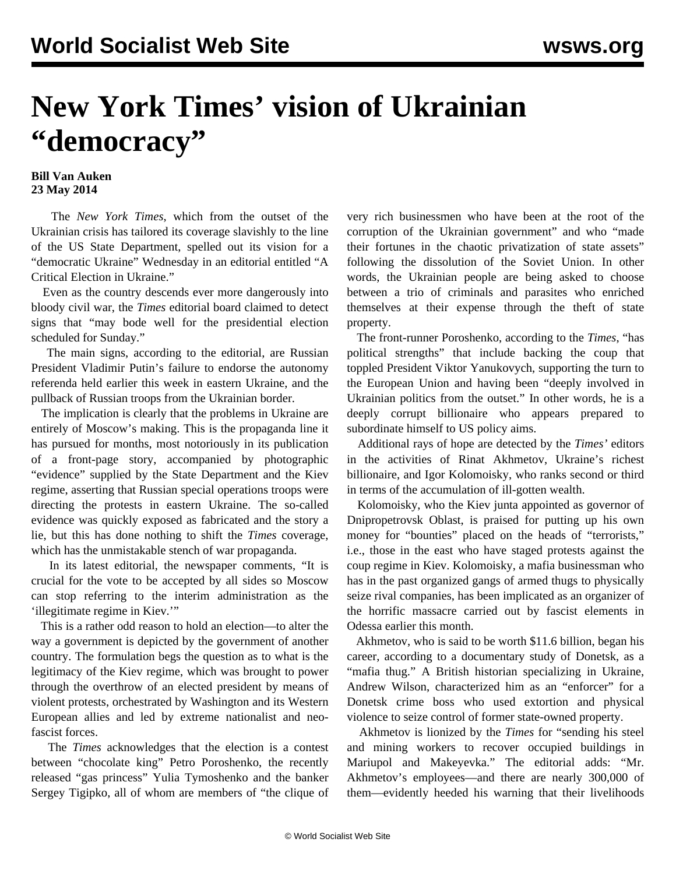## **New York Times' vision of Ukrainian "democracy"**

## **Bill Van Auken 23 May 2014**

 The *New York Times*, which from the outset of the Ukrainian crisis has tailored its coverage slavishly to the line of the US State Department, spelled out its vision for a "democratic Ukraine" Wednesday in an editorial entitled "A Critical Election in Ukraine."

 Even as the country descends ever more dangerously into bloody civil war, the *Times* editorial board claimed to detect signs that "may bode well for the presidential election scheduled for Sunday."

 The main signs, according to the editorial, are Russian President Vladimir Putin's failure to endorse the autonomy referenda held earlier this week in eastern Ukraine, and the pullback of Russian troops from the Ukrainian border.

 The implication is clearly that the problems in Ukraine are entirely of Moscow's making. This is the propaganda line it has pursued for months, most notoriously in its publication of a front-page story, accompanied by photographic "evidence" supplied by the State Department and the Kiev regime, asserting that Russian special operations troops were directing the protests in eastern Ukraine. The so-called evidence was quickly exposed as fabricated and the story a lie, but this has done nothing to shift the *Times* coverage, which has the unmistakable stench of war propaganda.

 In its latest editorial, the newspaper comments, "It is crucial for the vote to be accepted by all sides so Moscow can stop referring to the interim administration as the 'illegitimate regime in Kiev.'"

 This is a rather odd reason to hold an election—to alter the way a government is depicted by the government of another country. The formulation begs the question as to what is the legitimacy of the Kiev regime, which was brought to power through the overthrow of an elected president by means of violent protests, orchestrated by Washington and its Western European allies and led by extreme nationalist and neofascist forces.

 The *Times* acknowledges that the election is a contest between "chocolate king" Petro Poroshenko, the recently released "gas princess" Yulia Tymoshenko and the banker Sergey Tigipko, all of whom are members of "the clique of very rich businessmen who have been at the root of the corruption of the Ukrainian government" and who "made their fortunes in the chaotic privatization of state assets" following the dissolution of the Soviet Union. In other words, the Ukrainian people are being asked to choose between a trio of criminals and parasites who enriched themselves at their expense through the theft of state property.

 The front-runner Poroshenko, according to the *Times*, "has political strengths" that include backing the coup that toppled President Viktor Yanukovych, supporting the turn to the European Union and having been "deeply involved in Ukrainian politics from the outset." In other words, he is a deeply corrupt billionaire who appears prepared to subordinate himself to US policy aims.

 Additional rays of hope are detected by the *Times'* editors in the activities of Rinat Akhmetov, Ukraine's richest billionaire, and Igor Kolomoisky, who ranks second or third in terms of the accumulation of ill-gotten wealth.

 Kolomoisky, who the Kiev junta appointed as governor of Dnipropetrovsk Oblast, is praised for putting up his own money for "bounties" placed on the heads of "terrorists," i.e., those in the east who have staged protests against the coup regime in Kiev. Kolomoisky, a mafia businessman who has in the past organized gangs of armed thugs to physically seize rival companies, has been implicated as an organizer of the horrific massacre carried out by fascist elements in Odessa earlier this month.

 Akhmetov, who is said to be worth \$11.6 billion, began his career, according to a documentary study of Donetsk, as a "mafia thug." A British historian specializing in Ukraine, Andrew Wilson, characterized him as an "enforcer" for a Donetsk crime boss who used extortion and physical violence to seize control of former state-owned property.

 Akhmetov is lionized by the *Times* for "sending his steel and mining workers to recover occupied buildings in Mariupol and Makeyevka." The editorial adds: "Mr. Akhmetov's employees—and there are nearly 300,000 of them—evidently heeded his warning that their livelihoods